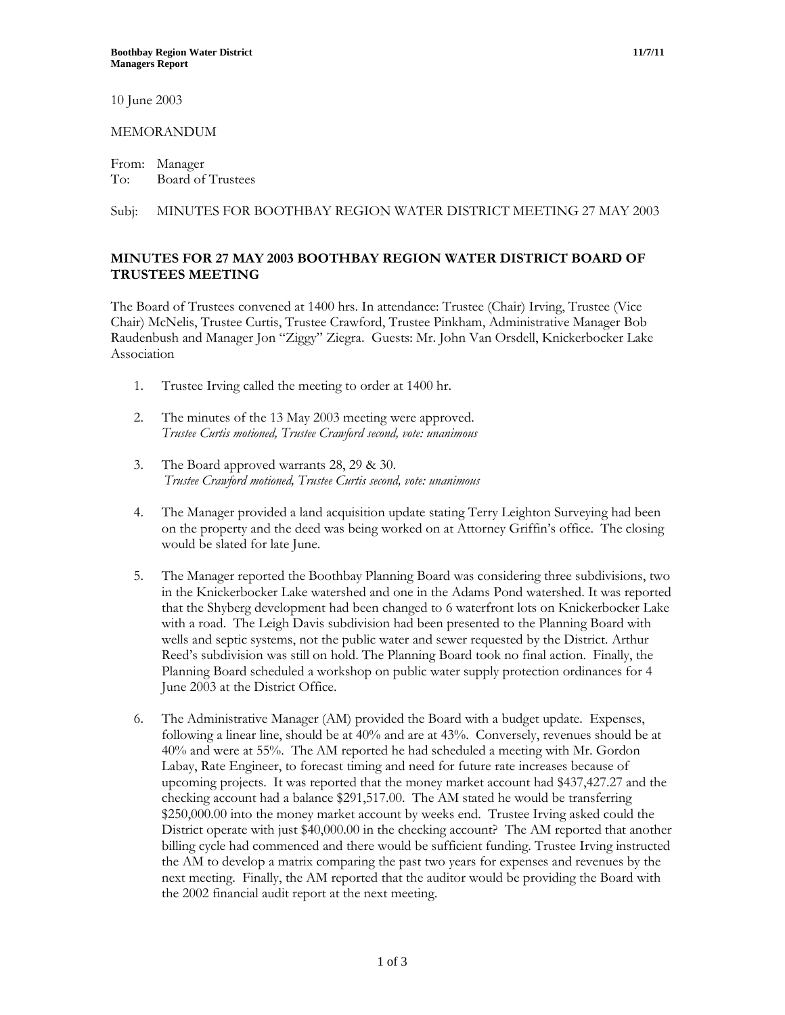10 June 2003

### MEMORANDUM

From: Manager To: Board of Trustees

# Subj: MINUTES FOR BOOTHBAY REGION WATER DISTRICT MEETING 27 MAY 2003

# **MINUTES FOR 27 MAY 2003 BOOTHBAY REGION WATER DISTRICT BOARD OF TRUSTEES MEETING**

The Board of Trustees convened at 1400 hrs. In attendance: Trustee (Chair) Irving, Trustee (Vice Chair) McNelis, Trustee Curtis, Trustee Crawford, Trustee Pinkham, Administrative Manager Bob Raudenbush and Manager Jon "Ziggy" Ziegra. Guests: Mr. John Van Orsdell, Knickerbocker Lake Association

- 1. Trustee Irving called the meeting to order at 1400 hr.
- 2. The minutes of the 13 May 2003 meeting were approved. *Trustee Curtis motioned, Trustee Crawford second, vote: unanimous*
- 3. The Board approved warrants 28, 29 & 30. *Trustee Crawford motioned, Trustee Curtis second, vote: unanimous*
- 4. The Manager provided a land acquisition update stating Terry Leighton Surveying had been on the property and the deed was being worked on at Attorney Griffin's office. The closing would be slated for late June.
- 5. The Manager reported the Boothbay Planning Board was considering three subdivisions, two in the Knickerbocker Lake watershed and one in the Adams Pond watershed. It was reported that the Shyberg development had been changed to 6 waterfront lots on Knickerbocker Lake with a road. The Leigh Davis subdivision had been presented to the Planning Board with wells and septic systems, not the public water and sewer requested by the District. Arthur Reed's subdivision was still on hold. The Planning Board took no final action. Finally, the Planning Board scheduled a workshop on public water supply protection ordinances for 4 June 2003 at the District Office.
- 6. The Administrative Manager (AM) provided the Board with a budget update. Expenses, following a linear line, should be at 40% and are at 43%. Conversely, revenues should be at 40% and were at 55%. The AM reported he had scheduled a meeting with Mr. Gordon Labay, Rate Engineer, to forecast timing and need for future rate increases because of upcoming projects. It was reported that the money market account had \$437,427.27 and the checking account had a balance \$291,517.00. The AM stated he would be transferring \$250,000.00 into the money market account by weeks end. Trustee Irving asked could the District operate with just \$40,000.00 in the checking account? The AM reported that another billing cycle had commenced and there would be sufficient funding. Trustee Irving instructed the AM to develop a matrix comparing the past two years for expenses and revenues by the next meeting. Finally, the AM reported that the auditor would be providing the Board with the 2002 financial audit report at the next meeting.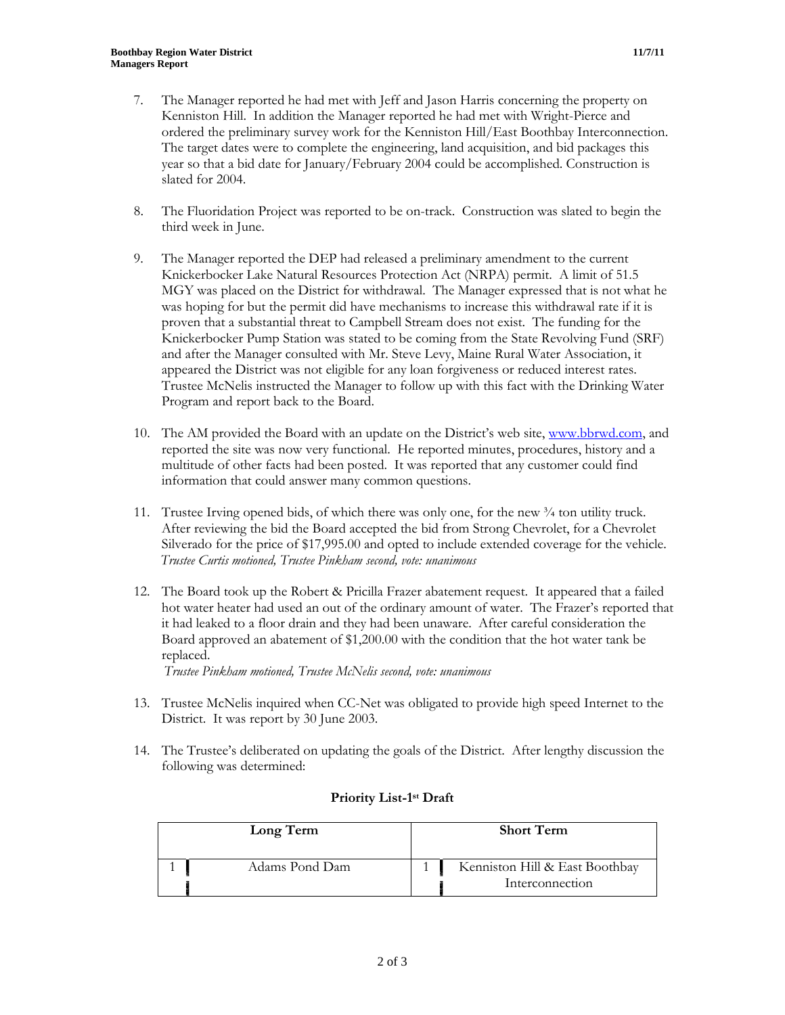- 7. The Manager reported he had met with Jeff and Jason Harris concerning the property on Kenniston Hill. In addition the Manager reported he had met with Wright-Pierce and ordered the preliminary survey work for the Kenniston Hill/East Boothbay Interconnection. The target dates were to complete the engineering, land acquisition, and bid packages this year so that a bid date for January/February 2004 could be accomplished. Construction is slated for 2004.
- 8. The Fluoridation Project was reported to be on-track. Construction was slated to begin the third week in June.
- 9. The Manager reported the DEP had released a preliminary amendment to the current Knickerbocker Lake Natural Resources Protection Act (NRPA) permit. A limit of 51.5 MGY was placed on the District for withdrawal. The Manager expressed that is not what he was hoping for but the permit did have mechanisms to increase this withdrawal rate if it is proven that a substantial threat to Campbell Stream does not exist. The funding for the Knickerbocker Pump Station was stated to be coming from the State Revolving Fund (SRF) and after the Manager consulted with Mr. Steve Levy, Maine Rural Water Association, it appeared the District was not eligible for any loan forgiveness or reduced interest rates. Trustee McNelis instructed the Manager to follow up with this fact with the Drinking Water Program and report back to the Board.
- 10. The AM provided the Board with an update on the District's web site, [www.bbrwd.com,](http://www.bbrwd.com/) and reported the site was now very functional. He reported minutes, procedures, history and a multitude of other facts had been posted. It was reported that any customer could find information that could answer many common questions.
- 11. Trustee Irving opened bids, of which there was only one, for the new ¾ ton utility truck. After reviewing the bid the Board accepted the bid from Strong Chevrolet, for a Chevrolet Silverado for the price of \$17,995.00 and opted to include extended coverage for the vehicle. *Trustee Curtis motioned, Trustee Pinkham second, vote: unanimous*
- 12. The Board took up the Robert & Pricilla Frazer abatement request. It appeared that a failed hot water heater had used an out of the ordinary amount of water. The Frazer's reported that it had leaked to a floor drain and they had been unaware. After careful consideration the Board approved an abatement of \$1,200.00 with the condition that the hot water tank be replaced.

*Trustee Pinkham motioned, Trustee McNelis second, vote: unanimous*

- 13. Trustee McNelis inquired when CC-Net was obligated to provide high speed Internet to the District. It was report by 30 June 2003.
- 14. The Trustee's deliberated on updating the goals of the District. After lengthy discussion the following was determined:

| Long Term      | <b>Short Term</b>                                 |  |
|----------------|---------------------------------------------------|--|
| Adams Pond Dam | Kenniston Hill & East Boothbay<br>Interconnection |  |

### **Priority List-1st Draft**